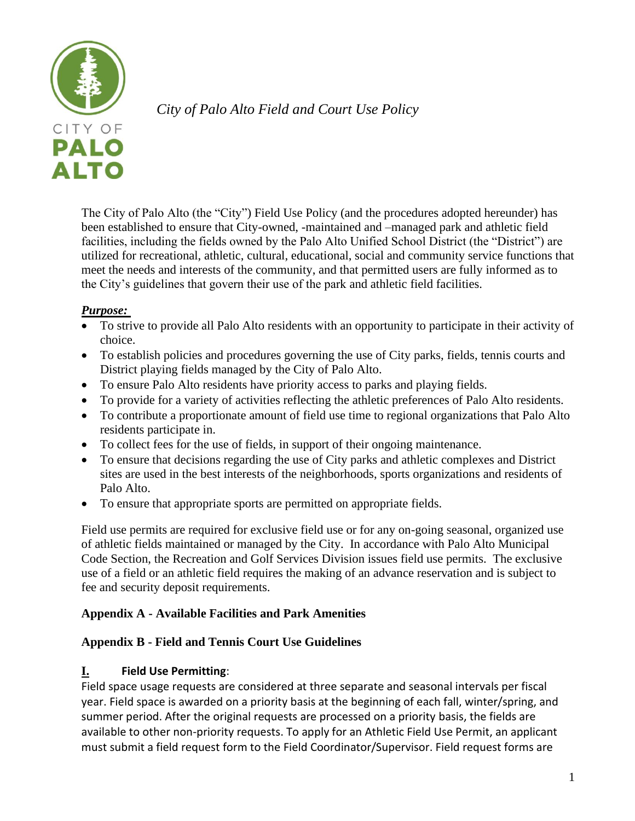

*City of Palo Alto Field and Court Use Policy*

The City of Palo Alto (the "City") Field Use Policy (and the procedures adopted hereunder) has been established to ensure that City-owned, -maintained and –managed park and athletic field facilities, including the fields owned by the Palo Alto Unified School District (the "District") are utilized for recreational, athletic, cultural, educational, social and community service functions that meet the needs and interests of the community, and that permitted users are fully informed as to the City's guidelines that govern their use of the park and athletic field facilities.

# *Purpose:*

- To strive to provide all Palo Alto residents with an opportunity to participate in their activity of choice.
- To establish policies and procedures governing the use of City parks, fields, tennis courts and District playing fields managed by the City of Palo Alto.
- To ensure Palo Alto residents have priority access to parks and playing fields.
- To provide for a variety of activities reflecting the athletic preferences of Palo Alto residents.
- To contribute a proportionate amount of field use time to regional organizations that Palo Alto residents participate in.
- To collect fees for the use of fields, in support of their ongoing maintenance.
- To ensure that decisions regarding the use of City parks and athletic complexes and District sites are used in the best interests of the neighborhoods, sports organizations and residents of Palo Alto.
- To ensure that appropriate sports are permitted on appropriate fields.

Field use permits are required for exclusive field use or for any on-going seasonal, organized use of athletic fields maintained or managed by the City. In accordance with Palo Alto Municipal Code Section, the Recreation and Golf Services Division issues field use permits. The exclusive use of a field or an athletic field requires the making of an advance reservation and is subject to fee and security deposit requirements.

# **Appendix A - Available Facilities and Park Amenities**

# **Appendix B - Field and Tennis Court Use Guidelines**

# **I. Field Use Permitting**:

Field space usage requests are considered at three separate and seasonal intervals per fiscal year. Field space is awarded on a priority basis at the beginning of each fall, winter/spring, and summer period. After the original requests are processed on a priority basis, the fields are available to other non-priority requests. To apply for an Athletic Field Use Permit, an applicant must submit a field request form to the Field Coordinator/Supervisor. Field request forms are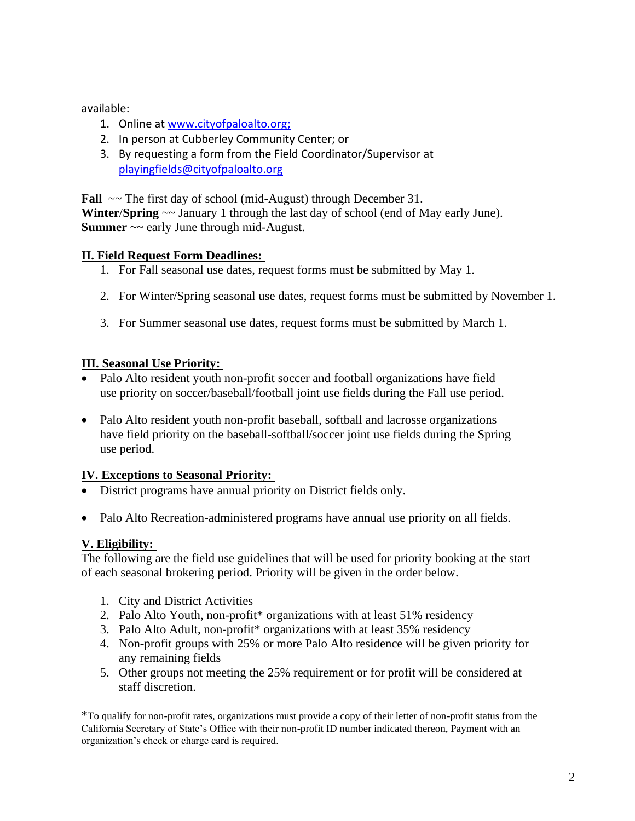available:

- 1. Online a[t www.cityofpaloalto.org;](http://www.cityofpaloalto.org/)
- 2. In person at Cubberley Community Center; or
- 3. By requesting a form from the Field Coordinator/Supervisor at [playingfields@cityofpaloalto.org](http://playingfields@cityofpaloalto.org/)

**Fall**  $\sim$  The first day of school (mid-August) through December 31.

**Winter**/**Spring** ~~ January 1 through the last day of school (end of May early June). **Summer**  $\sim$  early June through mid-August.

## **II. Field Request Form Deadlines:**

- 1. For Fall seasonal use dates, request forms must be submitted by May 1.
- 2. For Winter/Spring seasonal use dates, request forms must be submitted by November 1.
- 3. For Summer seasonal use dates, request forms must be submitted by March 1.

## **III. Seasonal Use Priority:**

- Palo Alto resident youth non-profit soccer and football organizations have field use priority on soccer/baseball/football joint use fields during the Fall use period.
- Palo Alto resident youth non-profit baseball, softball and lacrosse organizations have field priority on the baseball-softball/soccer joint use fields during the Spring use period.

## **IV. Exceptions to Seasonal Priority:**

- District programs have annual priority on District fields only.
- Palo Alto Recreation-administered programs have annual use priority on all fields.

# **V. Eligibility:**

The following are the field use guidelines that will be used for priority booking at the start of each seasonal brokering period. Priority will be given in the order below.

- 1. City and District Activities
- 2. Palo Alto Youth, non-profit\* organizations with at least 51% residency
- 3. Palo Alto Adult, non-profit\* organizations with at least 35% residency
- 4. Non-profit groups with 25% or more Palo Alto residence will be given priority for any remaining fields
- 5. Other groups not meeting the 25% requirement or for profit will be considered at staff discretion.

\*To qualify for non-profit rates, organizations must provide a copy of their letter of non-profit status from the California Secretary of State's Office with their non-profit ID number indicated thereon, Payment with an organization's check or charge card is required.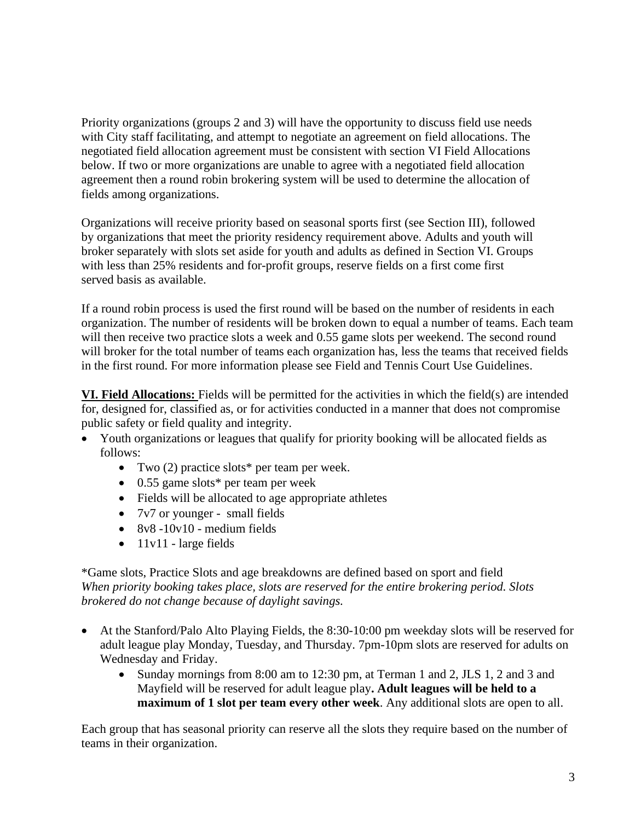Priority organizations (groups 2 and 3) will have the opportunity to discuss field use needs with City staff facilitating, and attempt to negotiate an agreement on field allocations. The negotiated field allocation agreement must be consistent with section VI Field Allocations below. If two or more organizations are unable to agree with a negotiated field allocation agreement then a round robin brokering system will be used to determine the allocation of fields among organizations.

Organizations will receive priority based on seasonal sports first (see Section III), followed by organizations that meet the priority residency requirement above. Adults and youth will broker separately with slots set aside for youth and adults as defined in Section VI. Groups with less than 25% residents and for-profit groups, reserve fields on a first come first served basis as available.

If a round robin process is used the first round will be based on the number of residents in each organization. The number of residents will be broken down to equal a number of teams. Each team will then receive two practice slots a week and 0.55 game slots per weekend. The second round will broker for the total number of teams each organization has, less the teams that received fields in the first round. For more information please see Field and Tennis Court Use Guidelines.

**VI. Field Allocations:** Fields will be permitted for the activities in which the field(s) are intended for, designed for, classified as, or for activities conducted in a manner that does not compromise public safety or field quality and integrity.

- Youth organizations or leagues that qualify for priority booking will be allocated fields as follows:
	- Two (2) practice slots\* per team per week.
	- 0.55 game slots\* per team per week
	- Fields will be allocated to age appropriate athletes
	- 7v7 or younger small fields
	- $8v8 10v10$  medium fields
	- 11v11 large fields

\*Game slots, Practice Slots and age breakdowns are defined based on sport and field *When priority booking takes place, slots are reserved for the entire brokering period. Slots brokered do not change because of daylight savings.* 

- At the Stanford/Palo Alto Playing Fields, the 8:30-10:00 pm weekday slots will be reserved for adult league play Monday, Tuesday, and Thursday. 7pm-10pm slots are reserved for adults on Wednesday and Friday.
	- Sunday mornings from 8:00 am to 12:30 pm, at Terman 1 and 2, JLS 1, 2 and 3 and Mayfield will be reserved for adult league play**. Adult leagues will be held to a maximum of 1 slot per team every other week**. Any additional slots are open to all.

Each group that has seasonal priority can reserve all the slots they require based on the number of teams in their organization.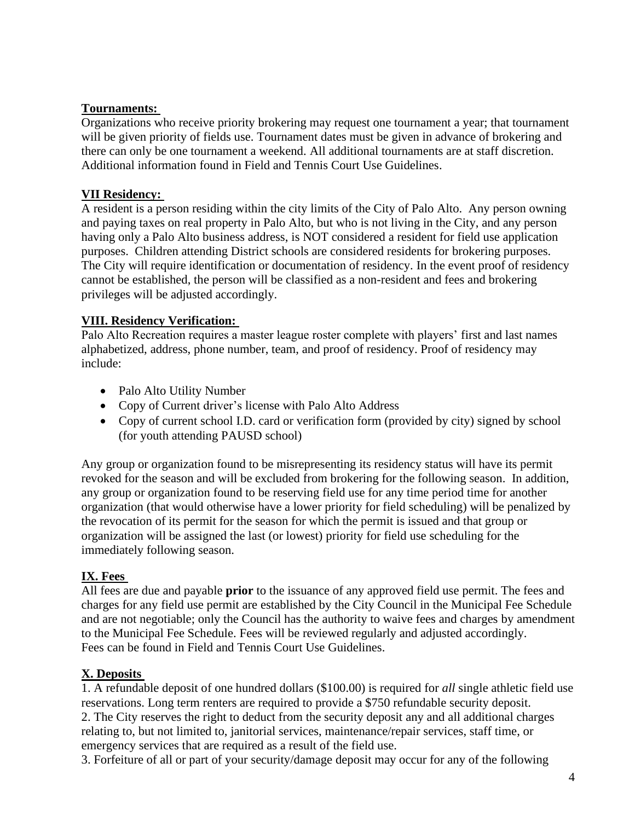#### **Tournaments:**

Organizations who receive priority brokering may request one tournament a year; that tournament will be given priority of fields use. Tournament dates must be given in advance of brokering and there can only be one tournament a weekend. All additional tournaments are at staff discretion. Additional information found in Field and Tennis Court Use Guidelines.

#### **VII Residency:**

A resident is a person residing within the city limits of the City of Palo Alto. Any person owning and paying taxes on real property in Palo Alto, but who is not living in the City, and any person having only a Palo Alto business address, is NOT considered a resident for field use application purposes. Children attending District schools are considered residents for brokering purposes. The City will require identification or documentation of residency. In the event proof of residency cannot be established, the person will be classified as a non-resident and fees and brokering privileges will be adjusted accordingly.

#### **VIII. Residency Verification:**

Palo Alto Recreation requires a master league roster complete with players' first and last names alphabetized, address, phone number, team, and proof of residency. Proof of residency may include:

- Palo Alto Utility Number
- Copy of Current driver's license with Palo Alto Address
- Copy of current school I.D. card or verification form (provided by city) signed by school (for youth attending PAUSD school)

Any group or organization found to be misrepresenting its residency status will have its permit revoked for the season and will be excluded from brokering for the following season. In addition, any group or organization found to be reserving field use for any time period time for another organization (that would otherwise have a lower priority for field scheduling) will be penalized by the revocation of its permit for the season for which the permit is issued and that group or organization will be assigned the last (or lowest) priority for field use scheduling for the immediately following season.

#### **IX. Fees**

All fees are due and payable **prior** to the issuance of any approved field use permit. The fees and charges for any field use permit are established by the City Council in the Municipal Fee Schedule and are not negotiable; only the Council has the authority to waive fees and charges by amendment to the Municipal Fee Schedule. Fees will be reviewed regularly and adjusted accordingly. Fees can be found in Field and Tennis Court Use Guidelines.

## **X. Deposits**

1. A refundable deposit of one hundred dollars (\$100.00) is required for *all* single athletic field use reservations. Long term renters are required to provide a \$750 refundable security deposit. 2. The City reserves the right to deduct from the security deposit any and all additional charges relating to, but not limited to, janitorial services, maintenance/repair services, staff time, or emergency services that are required as a result of the field use.

3. Forfeiture of all or part of your security/damage deposit may occur for any of the following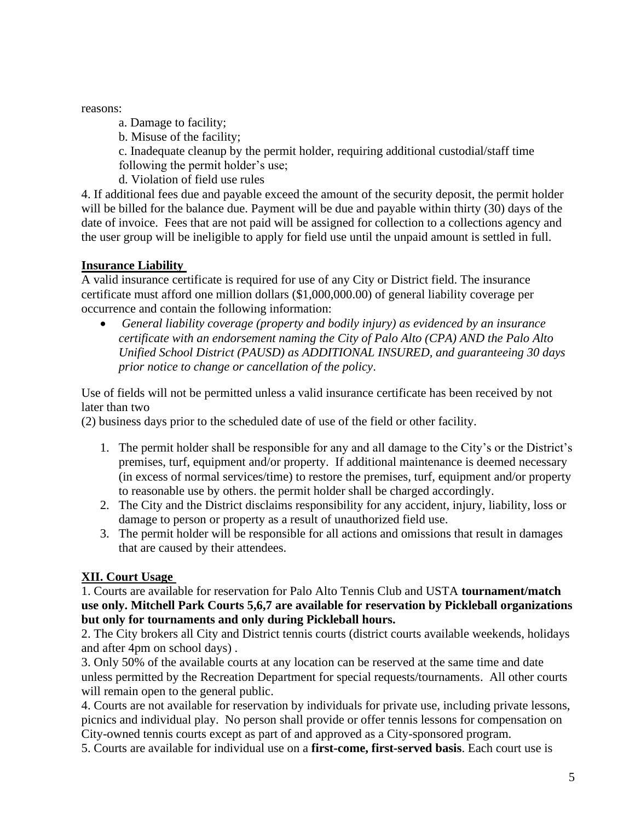reasons:

a. Damage to facility;

b. Misuse of the facility;

c. Inadequate cleanup by the permit holder, requiring additional custodial/staff time following the permit holder's use;

d. Violation of field use rules

4. If additional fees due and payable exceed the amount of the security deposit, the permit holder will be billed for the balance due. Payment will be due and payable within thirty (30) days of the date of invoice. Fees that are not paid will be assigned for collection to a collections agency and the user group will be ineligible to apply for field use until the unpaid amount is settled in full.

## **Insurance Liability**

A valid insurance certificate is required for use of any City or District field. The insurance certificate must afford one million dollars (\$1,000,000.00) of general liability coverage per occurrence and contain the following information:

• *General liability coverage (property and bodily injury) as evidenced by an insurance certificate with an endorsement naming the City of Palo Alto (CPA) AND the Palo Alto Unified School District (PAUSD) as ADDITIONAL INSURED, and guaranteeing 30 days prior notice to change or cancellation of the policy*.

Use of fields will not be permitted unless a valid insurance certificate has been received by not later than two

(2) business days prior to the scheduled date of use of the field or other facility.

- 1. The permit holder shall be responsible for any and all damage to the City's or the District's premises, turf, equipment and/or property. If additional maintenance is deemed necessary (in excess of normal services/time) to restore the premises, turf, equipment and/or property to reasonable use by others. the permit holder shall be charged accordingly.
- 2. The City and the District disclaims responsibility for any accident, injury, liability, loss or damage to person or property as a result of unauthorized field use.
- 3. The permit holder will be responsible for all actions and omissions that result in damages that are caused by their attendees.

# **XII. Court Usage**

1. Courts are available for reservation for Palo Alto Tennis Club and USTA **tournament/match use only. Mitchell Park Courts 5,6,7 are available for reservation by Pickleball organizations but only for tournaments and only during Pickleball hours.**

2. The City brokers all City and District tennis courts (district courts available weekends, holidays and after 4pm on school days) .

3. Only 50% of the available courts at any location can be reserved at the same time and date unless permitted by the Recreation Department for special requests/tournaments. All other courts will remain open to the general public.

4. Courts are not available for reservation by individuals for private use, including private lessons, picnics and individual play. No person shall provide or offer tennis lessons for compensation on City-owned tennis courts except as part of and approved as a City-sponsored program.

5. Courts are available for individual use on a **first-come, first-served basis**. Each court use is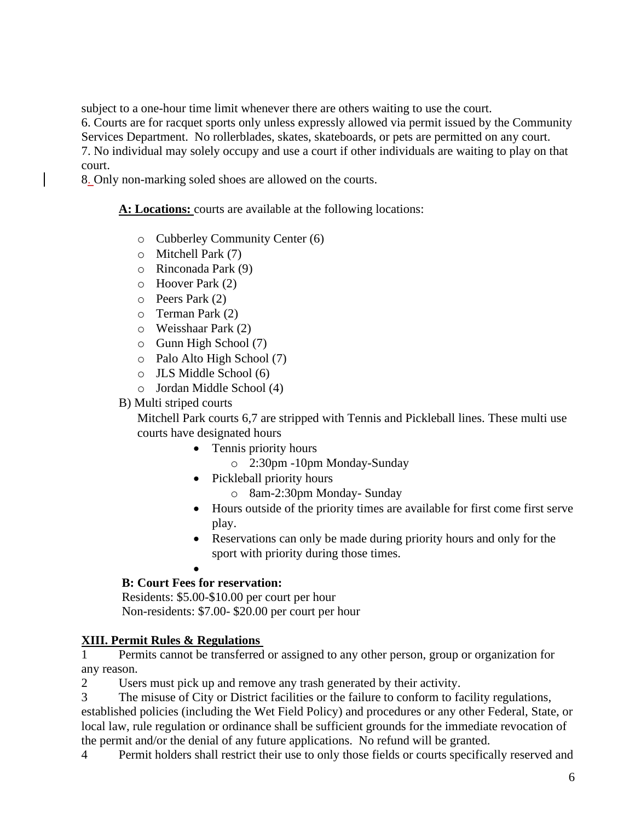subject to a one-hour time limit whenever there are others waiting to use the court.

6. Courts are for racquet sports only unless expressly allowed via permit issued by the Community Services Department. No rollerblades, skates, skateboards, or pets are permitted on any court.

7. No individual may solely occupy and use a court if other individuals are waiting to play on that court.

8. Only non-marking soled shoes are allowed on the courts.

**A: Locations:** courts are available at the following locations:

- o Cubberley Community Center (6)
- o Mitchell Park (7)
- o Rinconada Park (9)
- o Hoover Park (2)
- o Peers Park (2)
- o Terman Park (2)
- o Weisshaar Park (2)
- o Gunn High School (7)
- o Palo Alto High School (7)
- o JLS Middle School (6)
- o Jordan Middle School (4)
- B) Multi striped courts

Mitchell Park courts 6,7 are stripped with Tennis and Pickleball lines. These multi use courts have designated hours

- Tennis priority hours
	- o 2:30pm -10pm Monday-Sunday
- Pickleball priority hours
	- o 8am-2:30pm Monday- Sunday
- Hours outside of the priority times are available for first come first serve play.
- Reservations can only be made during priority hours and only for the sport with priority during those times.
- •

# **B: Court Fees for reservation:**

Residents: \$5.00-\$10.00 per court per hour Non-residents: \$7.00- \$20.00 per court per hour

# **XIII. Permit Rules & Regulations**

1 Permits cannot be transferred or assigned to any other person, group or organization for any reason.

2 Users must pick up and remove any trash generated by their activity.

3 The misuse of City or District facilities or the failure to conform to facility regulations, established policies (including the Wet Field Policy) and procedures or any other Federal, State, or local law, rule regulation or ordinance shall be sufficient grounds for the immediate revocation of the permit and/or the denial of any future applications. No refund will be granted.

4 Permit holders shall restrict their use to only those fields or courts specifically reserved and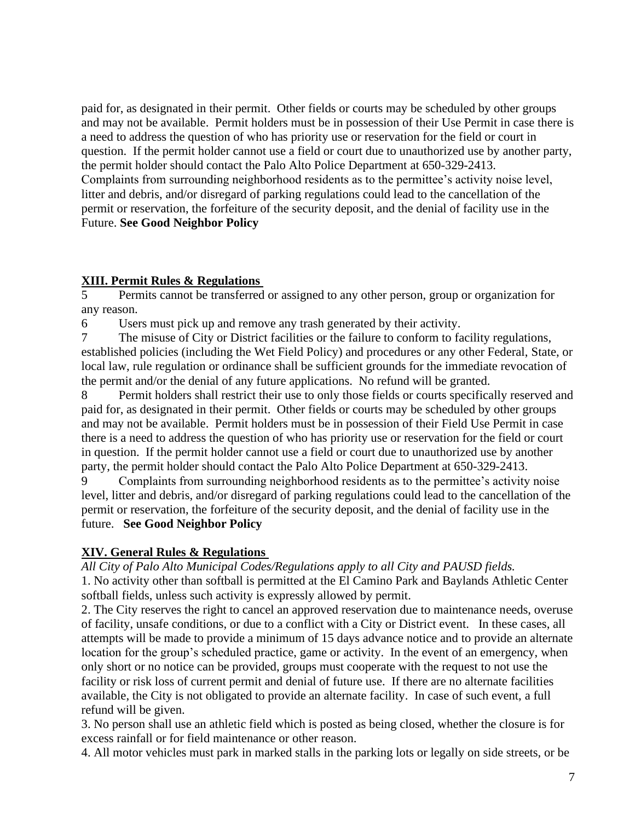paid for, as designated in their permit. Other fields or courts may be scheduled by other groups and may not be available. Permit holders must be in possession of their Use Permit in case there is a need to address the question of who has priority use or reservation for the field or court in question. If the permit holder cannot use a field or court due to unauthorized use by another party, the permit holder should contact the Palo Alto Police Department at 650-329-2413. Complaints from surrounding neighborhood residents as to the permittee's activity noise level, litter and debris, and/or disregard of parking regulations could lead to the cancellation of the permit or reservation, the forfeiture of the security deposit, and the denial of facility use in the Future. **See Good Neighbor Policy**

## **XIII. Permit Rules & Regulations**

5 Permits cannot be transferred or assigned to any other person, group or organization for any reason.

6 Users must pick up and remove any trash generated by their activity.

7 The misuse of City or District facilities or the failure to conform to facility regulations, established policies (including the Wet Field Policy) and procedures or any other Federal, State, or local law, rule regulation or ordinance shall be sufficient grounds for the immediate revocation of the permit and/or the denial of any future applications. No refund will be granted.

8 Permit holders shall restrict their use to only those fields or courts specifically reserved and paid for, as designated in their permit. Other fields or courts may be scheduled by other groups and may not be available. Permit holders must be in possession of their Field Use Permit in case there is a need to address the question of who has priority use or reservation for the field or court in question. If the permit holder cannot use a field or court due to unauthorized use by another party, the permit holder should contact the Palo Alto Police Department at 650-329-2413.

9 Complaints from surrounding neighborhood residents as to the permittee's activity noise level, litter and debris, and/or disregard of parking regulations could lead to the cancellation of the permit or reservation, the forfeiture of the security deposit, and the denial of facility use in the future. **See Good Neighbor Policy** 

# **XIV. General Rules & Regulations**

*All City of Palo Alto Municipal Codes/Regulations apply to all City and PAUSD fields.* 

1. No activity other than softball is permitted at the El Camino Park and Baylands Athletic Center softball fields, unless such activity is expressly allowed by permit.

2. The City reserves the right to cancel an approved reservation due to maintenance needs, overuse of facility, unsafe conditions, or due to a conflict with a City or District event. In these cases, all attempts will be made to provide a minimum of 15 days advance notice and to provide an alternate location for the group's scheduled practice, game or activity. In the event of an emergency, when only short or no notice can be provided, groups must cooperate with the request to not use the facility or risk loss of current permit and denial of future use. If there are no alternate facilities available, the City is not obligated to provide an alternate facility. In case of such event, a full refund will be given.

3. No person shall use an athletic field which is posted as being closed, whether the closure is for excess rainfall or for field maintenance or other reason.

4. All motor vehicles must park in marked stalls in the parking lots or legally on side streets, or be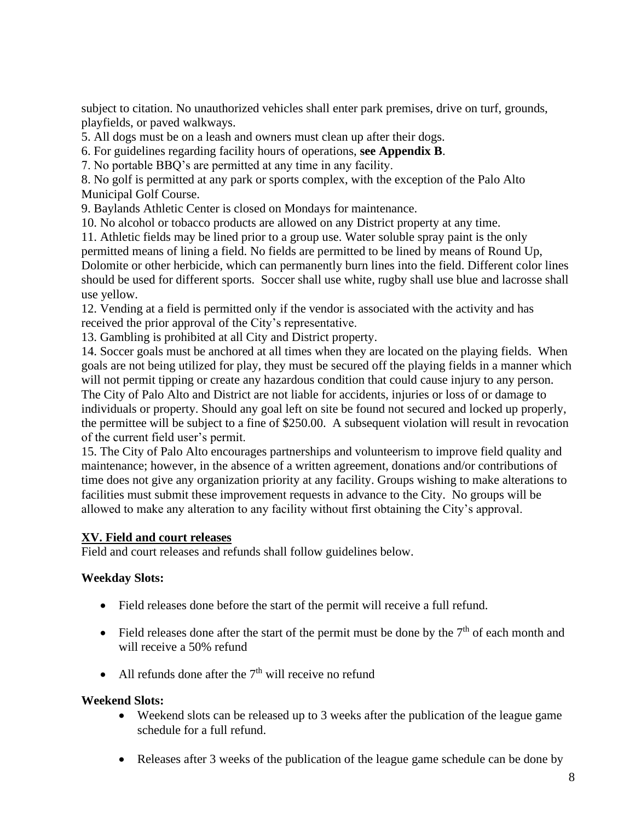subject to citation. No unauthorized vehicles shall enter park premises, drive on turf, grounds, playfields, or paved walkways.

5. All dogs must be on a leash and owners must clean up after their dogs.

6. For guidelines regarding facility hours of operations, **see Appendix B**.

7. No portable BBQ's are permitted at any time in any facility.

8. No golf is permitted at any park or sports complex, with the exception of the Palo Alto Municipal Golf Course.

9. Baylands Athletic Center is closed on Mondays for maintenance.

10. No alcohol or tobacco products are allowed on any District property at any time.

11. Athletic fields may be lined prior to a group use. Water soluble spray paint is the only permitted means of lining a field. No fields are permitted to be lined by means of Round Up, Dolomite or other herbicide, which can permanently burn lines into the field. Different color lines should be used for different sports. Soccer shall use white, rugby shall use blue and lacrosse shall use yellow.

12. Vending at a field is permitted only if the vendor is associated with the activity and has received the prior approval of the City's representative.

13. Gambling is prohibited at all City and District property.

14. Soccer goals must be anchored at all times when they are located on the playing fields. When goals are not being utilized for play, they must be secured off the playing fields in a manner which will not permit tipping or create any hazardous condition that could cause injury to any person. The City of Palo Alto and District are not liable for accidents, injuries or loss of or damage to individuals or property. Should any goal left on site be found not secured and locked up properly, the permittee will be subject to a fine of \$250.00. A subsequent violation will result in revocation of the current field user's permit.

15. The City of Palo Alto encourages partnerships and volunteerism to improve field quality and maintenance; however, in the absence of a written agreement, donations and/or contributions of time does not give any organization priority at any facility. Groups wishing to make alterations to facilities must submit these improvement requests in advance to the City. No groups will be allowed to make any alteration to any facility without first obtaining the City's approval.

## **XV. Field and court releases**

Field and court releases and refunds shall follow guidelines below.

## **Weekday Slots:**

- Field releases done before the start of the permit will receive a full refund.
- Field releases done after the start of the permit must be done by the  $7<sup>th</sup>$  of each month and will receive a 50% refund
- All refunds done after the  $7<sup>th</sup>$  will receive no refund

## **Weekend Slots:**

- Weekend slots can be released up to 3 weeks after the publication of the league game schedule for a full refund.
- Releases after 3 weeks of the publication of the league game schedule can be done by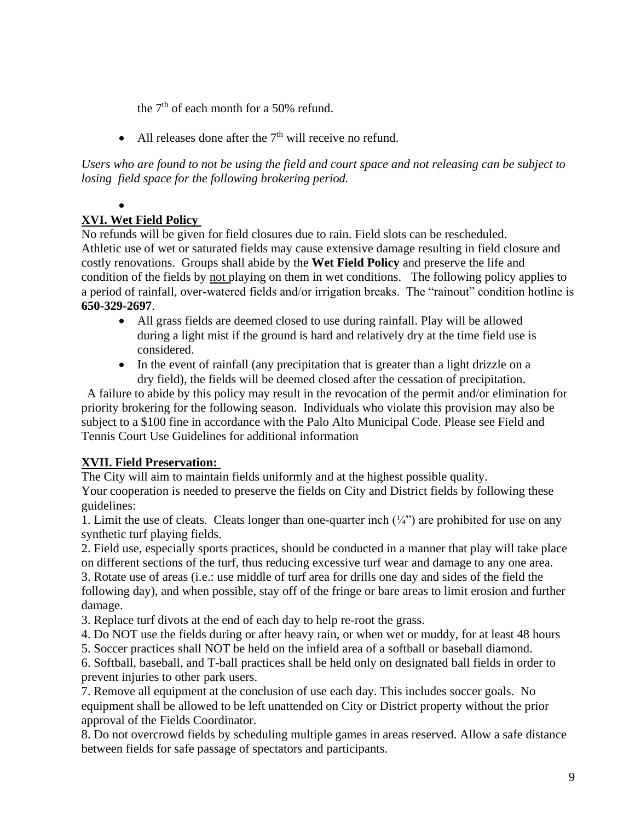the  $7<sup>th</sup>$  of each month for a 50% refund.

• All releases done after the  $7<sup>th</sup>$  will receive no refund.

*Users who are found to not be using the field and court space and not releasing can be subject to losing field space for the following brokering period.*

#### • **XVI. Wet Field Policy**

No refunds will be given for field closures due to rain. Field slots can be rescheduled. Athletic use of wet or saturated fields may cause extensive damage resulting in field closure and costly renovations. Groups shall abide by the **Wet Field Policy** and preserve the life and condition of the fields by not playing on them in wet conditions. The following policy applies to a period of rainfall, over-watered fields and/or irrigation breaks. The "rainout" condition hotline is **650-329-2697**.

- All grass fields are deemed closed to use during rainfall. Play will be allowed during a light mist if the ground is hard and relatively dry at the time field use is considered.
- In the event of rainfall (any precipitation that is greater than a light drizzle on a dry field), the fields will be deemed closed after the cessation of precipitation.

A failure to abide by this policy may result in the revocation of the permit and/or elimination for priority brokering for the following season. Individuals who violate this provision may also be subject to a \$100 fine in accordance with the Palo Alto Municipal Code. Please see Field and Tennis Court Use Guidelines for additional information

# **XVII. Field Preservation:**

The City will aim to maintain fields uniformly and at the highest possible quality. Your cooperation is needed to preserve the fields on City and District fields by following these guidelines:

1. Limit the use of cleats. Cleats longer than one-quarter inch  $\left(\frac{1}{4}\right)$  are prohibited for use on any synthetic turf playing fields.

2. Field use, especially sports practices, should be conducted in a manner that play will take place on different sections of the turf, thus reducing excessive turf wear and damage to any one area.

3. Rotate use of areas (i.e.: use middle of turf area for drills one day and sides of the field the following day), and when possible, stay off of the fringe or bare areas to limit erosion and further damage.

3. Replace turf divots at the end of each day to help re-root the grass.

4. Do NOT use the fields during or after heavy rain, or when wet or muddy, for at least 48 hours

5. Soccer practices shall NOT be held on the infield area of a softball or baseball diamond.

6. Softball, baseball, and T-ball practices shall be held only on designated ball fields in order to prevent injuries to other park users.

7. Remove all equipment at the conclusion of use each day. This includes soccer goals. No equipment shall be allowed to be left unattended on City or District property without the prior approval of the Fields Coordinator.

8. Do not overcrowd fields by scheduling multiple games in areas reserved. Allow a safe distance between fields for safe passage of spectators and participants.